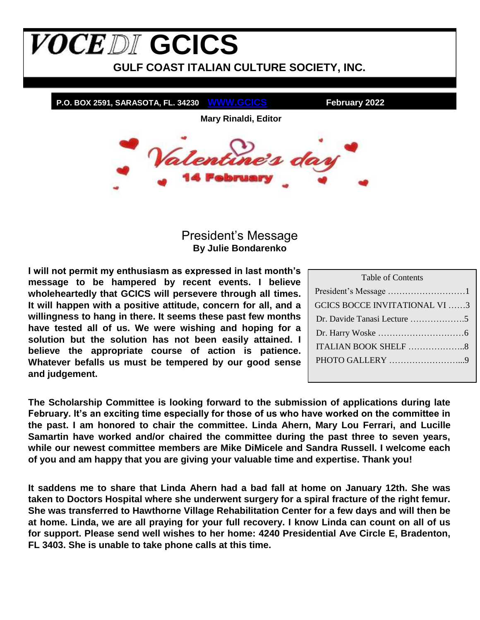# <span id="page-0-1"></span>**VOCEDI** GCICS **GULF COAST ITALIAN CULTURE SOCIETY, INC.**

**P.O. BOX 2591, SARASOTA, FL. 34230 WWW.GCICS February 2022 Mary Rinaldi, Editor**

### President's Message **By Julie Bondarenko**

<span id="page-0-0"></span>**I will not permit my enthusiasm as expressed in last month's message to be hampered by recent events. I believe wholeheartedly that GCICS will persevere through all times. It will happen with a positive attitude, concern for all, and a willingness to hang in there. It seems these past few months have tested all of us. We were wishing and hoping for a solution but the solution has not been easily attained. I believe the appropriate course of action is patience. Whatever befalls us must be tempered by our good sense and judgement.**

| <b>Table of Contents</b>             |
|--------------------------------------|
|                                      |
| <b>GCICS BOCCE INVITATIONAL VI 3</b> |
|                                      |
|                                      |
| ITALIAN BOOK SHELF 8                 |
|                                      |
|                                      |

**The Scholarship Committee is looking forward to the submission of applications during late February. It's an exciting time especially for those of us who have worked on the committee in the past. I am honored to chair the committee. Linda Ahern, Mary Lou Ferrari, and Lucille Samartin have worked and/or chaired the committee during the past three to seven years, while our newest committee members are Mike DiMicele and Sandra Russell. I welcome each of you and am happy that you are giving your valuable time and expertise. Thank you!**

**It saddens me to share that Linda Ahern had a bad fall at home on January 12th. She was taken to Doctors Hospital where she underwent surgery for a spiral fracture of the right femur. She was transferred to Hawthorne Village Rehabilitation Center for a few days and will then be at home. Linda, we are all praying for your full recovery. I know Linda can count on all of us for support. Please send well wishes to her home: 4240 Presidential Ave Circle E, Bradenton, FL 3403. She is unable to take phone calls at this time.**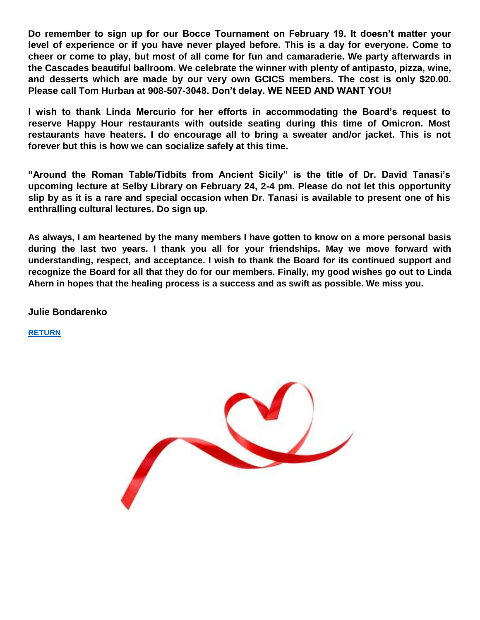**Do remember to sign up for our Bocce Tournament on February 19. It doesn't matter your level of experience or if you have never played before. This is a day for everyone. Come to cheer or come to play, but most of all come for fun and camaraderie. We party afterwards in the Cascades beautiful ballroom. We celebrate the winner with plenty of antipasto, pizza, wine, and desserts which are made by our very own GCICS members. The cost is only \$20.00. Please call Tom Hurban at 908-507-3048. Don't delay. WE NEED AND WANT YOU!**

**I wish to thank Linda Mercurio for her efforts in accommodating the Board's request to reserve Happy Hour restaurants with outside seating during this time of Omicron. Most restaurants have heaters. I do encourage all to bring a sweater and/or jacket. This is not forever but this is how we can socialize safely at this time.**

**"Around the Roman Table/Tidbits from Ancient Sicily" is the title of Dr. David Tanasi's upcoming lecture at Selby Library on February 24, 2-4 pm. Please do not let this opportunity slip by as it is a rare and special occasion when Dr. Tanasi is available to present one of his enthralling cultural lectures. Do sign up.**

**As always, I am heartened by the many members I have gotten to know on a more personal basis during the last two years. I thank you all for your friendships. May we move forward with understanding, respect, and acceptance. I wish to thank the Board for its continued support and recognize the Board for all that they do for our members. Finally, my good wishes go out to Linda Ahern in hopes that the healing process is a success and as swift as possible. We miss you.**

**Julie Bondarenko**

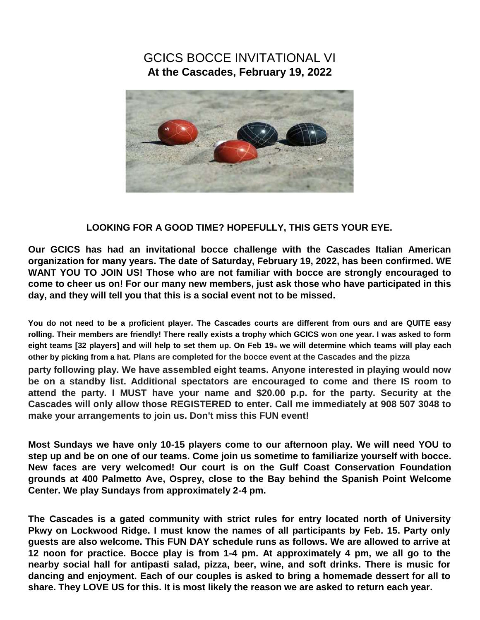### GCICS BOCCE INVITATIONAL VI **At the Cascades, February 19, 2022**

<span id="page-2-0"></span>

### **LOOKING FOR A GOOD TIME? HOPEFULLY, THIS GETS YOUR EYE.**

**Our GCICS has had an invitational bocce challenge with the Cascades Italian American organization for many years. The date of Saturday, February 19, 2022, has been confirmed. WE WANT YOU TO JOIN US! Those who are not familiar with bocce are strongly encouraged to come to cheer us on! For our many new members, just ask those who have participated in this day, and they will tell you that this is a social event not to be missed.**

**You do not need to be a proficient player. The Cascades courts are different from ours and are QUITE easy rolling. Their members are friendly! There really exists a trophy which GCICS won one year. I was asked to form eight teams [32 players] and will help to set them up. On Feb 19th we will determine which teams will play each other by picking from a hat. Plans are completed for the bocce event at the Cascades and the pizza party following play. We have assembled eight teams. Anyone interested in playing would now be on a standby list. Additional spectators are encouraged to come and there IS room to attend the party. I MUST have your name and \$20.00 p.p. for the party. Security at the Cascades will only allow those REGISTERED to enter. Call me immediately at 908 507 3048 to make your arrangements to join us. Don't miss this FUN event!**

**Most Sundays we have only 10-15 players come to our afternoon play. We will need YOU to step up and be on one of our teams. Come join us sometime to familiarize yourself with bocce. New faces are very welcomed! Our court is on the Gulf Coast Conservation Foundation grounds at 400 Palmetto Ave, Osprey, close to the Bay behind the Spanish Point Welcome Center. We play Sundays from approximately 2-4 pm.**

**The Cascades is a gated community with strict rules for entry located north of University Pkwy on Lockwood Ridge. I must know the names of all participants by Feb. 15. Party only guests are also welcome. This FUN DAY schedule runs as follows. We are allowed to arrive at 12 noon for practice. Bocce play is from 1-4 pm. At approximately 4 pm, we all go to the nearby social hall for antipasti salad, pizza, beer, wine, and soft drinks. There is music for dancing and enjoyment. Each of our couples is asked to bring a homemade dessert for all to share. They LOVE US for this. It is most likely the reason we are asked to return each year.**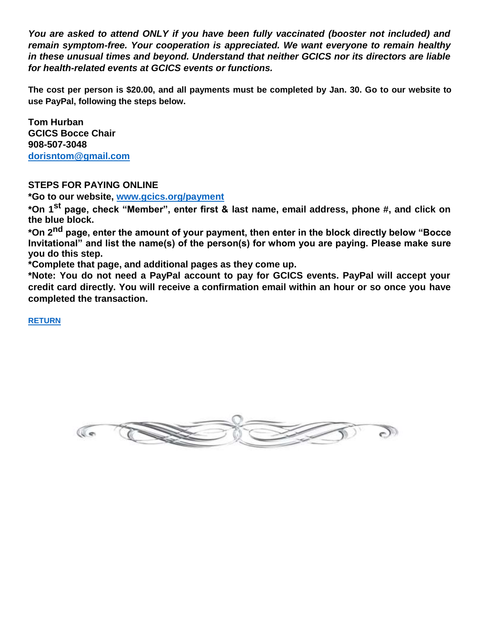*You are asked to attend ONLY if you have been fully vaccinated (booster not included) and remain symptom-free. Your cooperation is appreciated. We want everyone to remain healthy in these unusual times and beyond. Understand that neither GCICS nor its directors are liable for health-related events at GCICS events or functions.*

**The cost per person is \$20.00, and all payments must be completed by Jan. 30. Go to our website to use PayPal, following the steps below.**

**Tom Hurban GCICS Bocce Chair 908-507-3048 dorisntom@gmail.com**

### **STEPS FOR PAYING ONLINE**

**\*Go to our website, www.gcics.org/payment**

**\*On 1st page, check "Member", enter first & last name, email address, phone #, and click on the blue block.**

**\*On 2nd page, enter the amount of your payment, then enter in the block directly below "Bocce Invitational" and list the name(s) of the person(s) for whom you are paying. Please make sure you do this step.**

**\*Complete that page, and additional pages as they come up.**

**\*Note: You do not need a PayPal account to pay for GCICS events. PayPal will accept your credit card directly. You will receive a confirmation email within an hour or so once you have completed the transaction.**

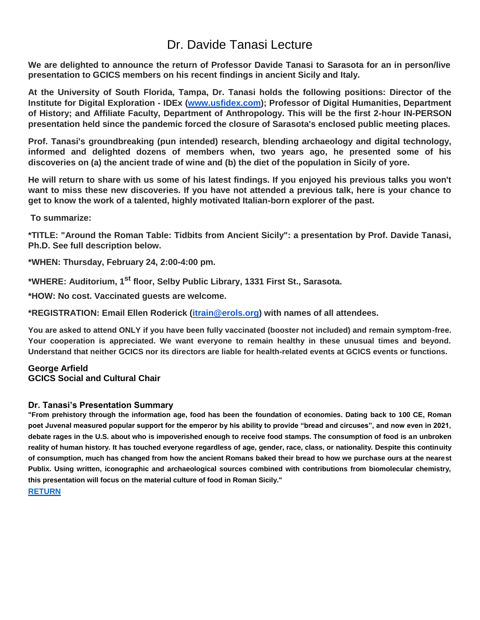# Dr. Davide Tanasi Lecture

<span id="page-4-0"></span>**We are delighted to announce the return of Professor Davide Tanasi to Sarasota for an in person/live presentation to GCICS members on his recent findings in ancient Sicily and Italy.**

**At the University of South Florida, Tampa, Dr. Tanasi holds the following positions: Director of the Institute for Digital Exploration - IDEx (www.usfidex.com); Professor of Digital Humanities, Department of History; and Affiliate Faculty, Department of Anthropology. This will be the first 2-hour IN-PERSON presentation held since the pandemic forced the closure of Sarasota's enclosed public meeting places.**

**Prof. Tanasi's groundbreaking (pun intended) research, blending archaeology and digital technology, informed and delighted dozens of members when, two years ago, he presented some of his discoveries on (a) the ancient trade of wine and (b) the diet of the population in Sicily of yore.**

**He will return to share with us some of his latest findings. If you enjoyed his previous talks you won't want to miss these new discoveries. If you have not attended a previous talk, here is your chance to get to know the work of a talented, highly motivated Italian-born explorer of the past.**

**To summarize:**

**\*TITLE: "Around the Roman Table: Tidbits from Ancient Sicily": a presentation by Prof. Davide Tanasi, Ph.D. See full description below.**

**\*WHEN: Thursday, February 24, 2:00-4:00 pm.**

**\*WHERE: Auditorium, 1st floor, Selby Public Library, 1331 First St., Sarasota.**

**\*HOW: No cost. Vaccinated guests are welcome.**

**\*REGISTRATION: Email Ellen Roderick (itrain@erols.org) with names of all attendees.**

**You are asked to attend ONLY if you have been fully vaccinated (booster not included) and remain symptom-free. Your cooperation is appreciated. We want everyone to remain healthy in these unusual times and beyond. Understand that neither GCICS nor its directors are liable for health-related events at GCICS events or functions.**

**George Arfield GCICS Social and Cultural Chair**

#### **Dr. Tanasi's Presentation Summary**

**"From prehistory through the information age, food has been the foundation of economies. Dating back to 100 CE, Roman poet Juvenal measured popular support for the emperor by his ability to provide "bread and circuses", and now even in 2021, debate rages in the U.S. about who is impoverished enough to receive food stamps. The consumption of food is an unbroken reality of human history. It has touched everyone regardless of age, gender, race, class, or nationality. Despite this continuity of consumption, much has changed from how the ancient Romans baked their bread to how we purchase ours at the nearest Publix. Using written, iconographic and archaeological sources combined with contributions from biomolecular chemistry, this presentation will focus on the material culture of food in Roman Sicily." [RETURN](#page-0-1)**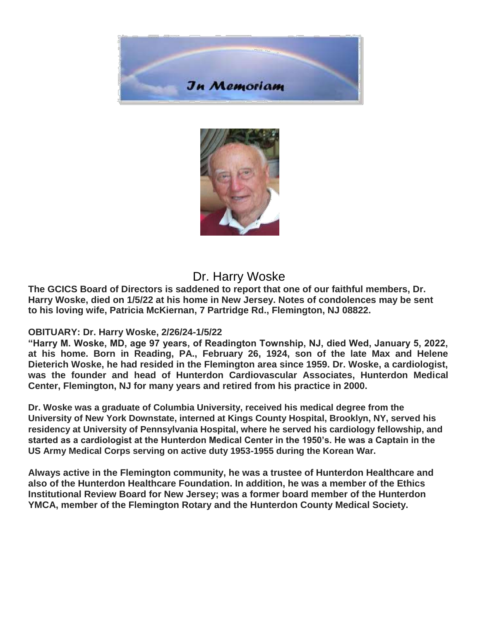



## Dr. Harry Woske

<span id="page-5-0"></span>**The GCICS Board of Directors is saddened to report that one of our faithful members, Dr. Harry Woske, died on 1/5/22 at his home in New Jersey. Notes of condolences may be sent to his loving wife, Patricia McKiernan, 7 Partridge Rd., Flemington, NJ 08822.**

### **OBITUARY: Dr. Harry Woske, 2/26/24-1/5/22**

**"Harry M. Woske, MD, age 97 years, of Readington Township, NJ, died Wed, January 5, 2022, at his home. Born in Reading, PA., February 26, 1924, son of the late Max and Helene Dieterich Woske, he had resided in the Flemington area since 1959. Dr. Woske, a cardiologist, was the founder and head of Hunterdon Cardiovascular Associates, Hunterdon Medical Center, Flemington, NJ for many years and retired from his practice in 2000.**

**Dr. Woske was a graduate of Columbia University, received his medical degree from the University of New York Downstate, interned at Kings County Hospital, Brooklyn, NY, served his residency at University of Pennsylvania Hospital, where he served his cardiology fellowship, and started as a cardiologist at the Hunterdon Medical Center in the 1950's. He was a Captain in the US Army Medical Corps serving on active duty 1953-1955 during the Korean War.**

**Always active in the Flemington community, he was a trustee of Hunterdon Healthcare and also of the Hunterdon Healthcare Foundation. In addition, he was a member of the Ethics Institutional Review Board for New Jersey; was a former board member of the Hunterdon YMCA, member of the Flemington Rotary and the Hunterdon County Medical Society.**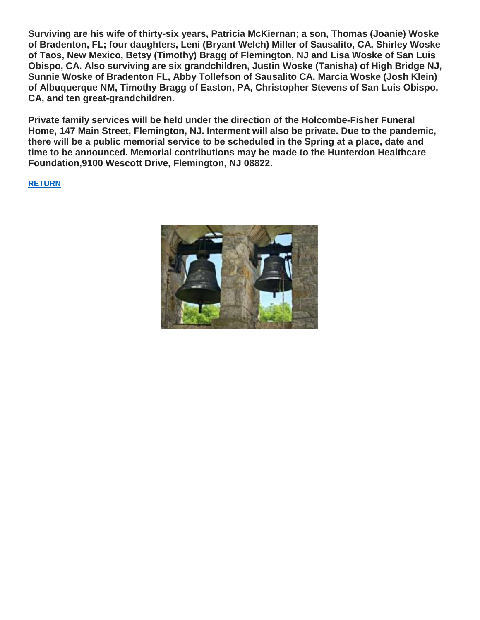**Surviving are his wife of thirty-six years, Patricia McKiernan; a son, Thomas (Joanie) Woske of Bradenton, FL; four daughters, Leni (Bryant Welch) Miller of Sausalito, CA, Shirley Woske of Taos, New Mexico, Betsy (Timothy) Bragg of Flemington, NJ and Lisa Woske of San Luis Obispo, CA. Also surviving are six grandchildren, Justin Woske (Tanisha) of High Bridge NJ, Sunnie Woske of Bradenton FL, Abby Tollefson of Sausalito CA, Marcia Woske (Josh Klein) of Albuquerque NM, Timothy Bragg of Easton, PA, Christopher Stevens of San Luis Obispo, CA, and ten great-grandchildren.**

**Private family services will be held under the direction of the Holcombe-Fisher Funeral Home, 147 Main Street, Flemington, NJ. Interment will also be private. Due to the pandemic, there will be a public memorial service to be scheduled in the Spring at a place, date and time to be announced. Memorial contributions may be made to the Hunterdon Healthcare Foundation,9100 Wescott Drive, Flemington, NJ 08822.**

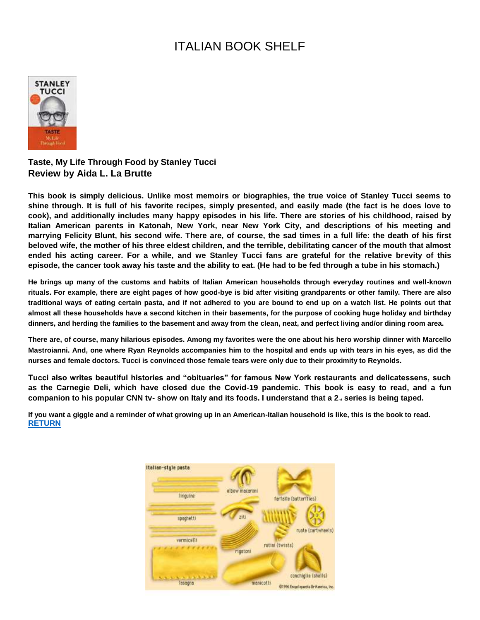# ITALIAN BOOK SHELF

<span id="page-7-0"></span>

**Taste, My Life Through Food by Stanley Tucci Review by Aida L. La Brutte**

**This book is simply delicious. Unlike most memoirs or biographies, the true voice of Stanley Tucci seems to shine through. It is full of his favorite recipes, simply presented, and easily made (the fact is he does love to cook), and additionally includes many happy episodes in his life. There are stories of his childhood, raised by Italian American parents in Katonah, New York, near New York City, and descriptions of his meeting and marrying Felicity Blunt, his second wife. There are, of course, the sad times in a full life: the death of his first beloved wife, the mother of his three eldest children, and the terrible, debilitating cancer of the mouth that almost ended his acting career. For a while, and we Stanley Tucci fans are grateful for the relative brevity of this episode, the cancer took away his taste and the ability to eat. (He had to be fed through a tube in his stomach.)**

**He brings up many of the customs and habits of Italian American households through everyday routines and well-known rituals. For example, there are eight pages of how good-bye is bid after visiting grandparents or other family. There are also traditional ways of eating certain pasta, and if not adhered to you are bound to end up on a watch list. He points out that almost all these households have a second kitchen in their basements, for the purpose of cooking huge holiday and birthday dinners, and herding the families to the basement and away from the clean, neat, and perfect living and/or dining room area.**

**There are, of course, many hilarious episodes. Among my favorites were the one about his hero worship dinner with Marcello Mastroianni. And, one where Ryan Reynolds accompanies him to the hospital and ends up with tears in his eyes, as did the nurses and female doctors. Tucci is convinced those female tears were only due to their proximity to Reynolds.**

**Tucci also writes beautiful histories and "obituaries" for famous New York restaurants and delicatessens, such as the Carnegie Deli, which have closed due the Covid-19 pandemic. This book is easy to read, and a fun companion to his popular CNN tv- show on Italy and its foods. I understand that a 2nd series is being taped.**

**If you want a giggle and a reminder of what growing up in an American-Italian household is like, this is the book to read. [RETURN](#page-0-1)**

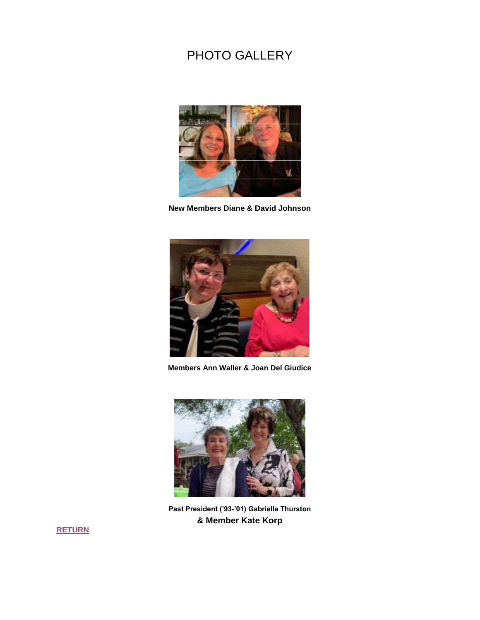# PHOTO GALLERY

<span id="page-8-0"></span>

**New Members Diane & David Johnson**



**Members Ann Waller & Joan Del Giudice**



**Past President ('93-'01) Gabriella Thurston & Member Kate Korp**